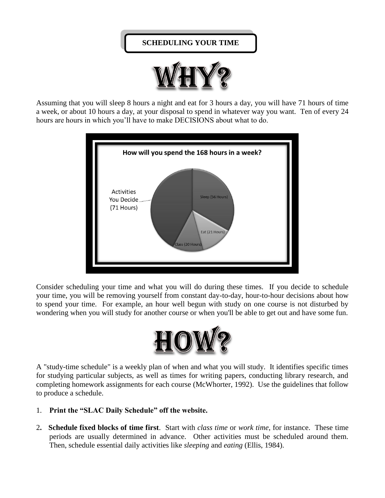## **SCHEDULING YOUR TIME**



Assuming that you will sleep 8 hours a night and eat for 3 hours a day, you will have 71 hours of time a week, or about 10 hours a day, at your disposal to spend in whatever way you want. Ten of every 24 hours are hours in which you'll have to make DECISIONS about what to do.



Consider scheduling your time and what you will do during these times. If you decide to schedule your time, you will be removing yourself from constant day-to-day, hour-to-hour decisions about how to spend your time. For example, an hour well begun with study on one course is not disturbed by wondering when you will study for another course or when you'll be able to get out and have some fun.



A "study-time schedule" is a weekly plan of when and what you will study. It identifies specific times for studying particular subjects, as well as times for writing papers, conducting library research, and completing homework assignments for each course (McWhorter, 1992). Use the guidelines that follow to produce a schedule.

- 1. **Print the "SLAC Daily Schedule" off the website.**
- 2**. Schedule fixed blocks of time first**. Start with *class time* or *work time*, for instance. These time periods are usually determined in advance. Other activities must be scheduled around them. Then, schedule essential daily activities like *sleeping* and *eating* (Ellis, 1984).